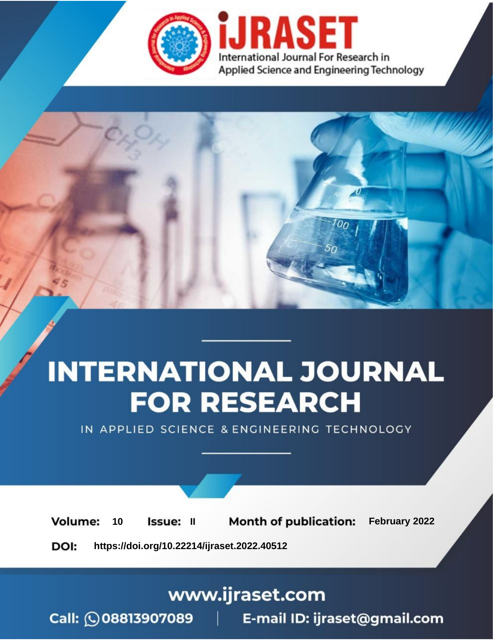

# **INTERNATIONAL JOURNAL FOR RESEARCH**

IN APPLIED SCIENCE & ENGINEERING TECHNOLOGY

**Month of publication:** February 2022 **Volume:** 10 **Issue: II** DOI: https://doi.org/10.22214/ijraset.2022.40512

www.ijraset.com

 $Call: \bigcirc$ 08813907089 E-mail ID: ijraset@gmail.com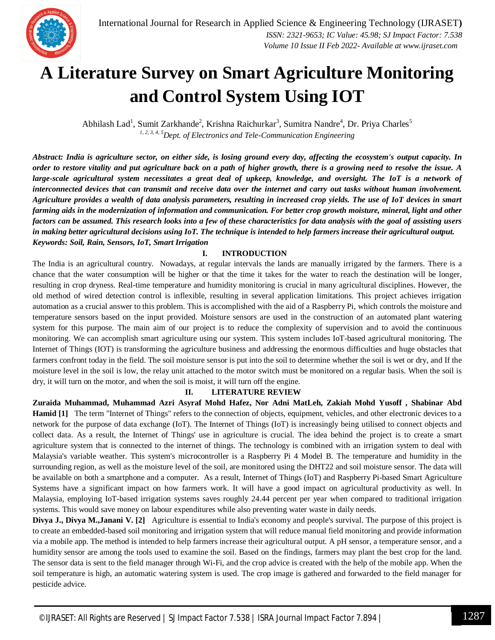

### **A Literature Survey on Smart Agriculture Monitoring and Control System Using IOT**

Abhilash Lad<sup>1</sup>, Sumit Zarkhande<sup>2</sup>, Krishna Raichurkar<sup>3</sup>, Sumitra Nandre<sup>4</sup>, Dr. Priya Charles<sup>5</sup> *1, 2, 3, 4, 5Dept. of Electronics and Tele-Communication Engineering*

*Abstract: India is agriculture sector, on either side, is losing ground every day, affecting the ecosystem's output capacity. In order to restore vitality and put agriculture back on a path of higher growth, there is a growing need to resolve the issue. A large-scale agricultural system necessitates a great deal of upkeep, knowledge, and oversight. The IoT is a network of interconnected devices that can transmit and receive data over the internet and carry out tasks without human involvement. Agriculture provides a wealth of data analysis parameters, resulting in increased crop yields. The use of IoT devices in smart farming aids in the modernization of information and communication. For better crop growth moisture, mineral, light and other factors can be assumed. This research looks into a few of these characteristics for data analysis with the goal of assisting users in making better agricultural decisions using IoT. The technique is intended to help farmers increase their agricultural output. Keywords: Soil, Rain, Sensors, IoT, Smart Irrigation*

#### **I. INTRODUCTION**

The India is an agricultural country. Nowadays, at regular intervals the lands are manually irrigated by the farmers. There is a chance that the water consumption will be higher or that the time it takes for the water to reach the destination will be longer, resulting in crop dryness. Real-time temperature and humidity monitoring is crucial in many agricultural disciplines. However, the old method of wired detection control is inflexible, resulting in several application limitations. This project achieves irrigation automation as a crucial answer to this problem. This is accomplished with the aid of a Raspberry Pi, which controls the moisture and temperature sensors based on the input provided. Moisture sensors are used in the construction of an automated plant watering system for this purpose. The main aim of our project is to reduce the complexity of supervision and to avoid the continuous monitoring. We can accomplish smart agriculture using our system. This system includes IoT-based agricultural monitoring. The Internet of Things (IOT) is transforming the agriculture business and addressing the enormous difficulties and huge obstacles that farmers confront today in the field. The soil moisture sensor is put into the soil to determine whether the soil is wet or dry, and If the moisture level in the soil is low, the relay unit attached to the motor switch must be monitored on a regular basis. When the soil is dry, it will turn on the motor, and when the soil is moist, it will turn off the engine.

#### **II. LITERATURE REVIEW**

**Zuraida Muhammad, Muhammad Azri Asyraf Mohd Hafez, Nor Adni MatLeh, Zakiah Mohd Yusoff , Shabinar Abd Hamid [1]** The term "Internet of Things" refers to the connection of objects, equipment, vehicles, and other electronic devices to a network for the purpose of data exchange (IoT). The Internet of Things (IoT) is increasingly being utilised to connect objects and collect data. As a result, the Internet of Things' use in agriculture is crucial. The idea behind the project is to create a smart agriculture system that is connected to the internet of things. The technology is combined with an irrigation system to deal with Malaysia's variable weather. This system's microcontroller is a Raspberry Pi 4 Model B. The temperature and humidity in the surrounding region, as well as the moisture level of the soil, are monitored using the DHT22 and soil moisture sensor. The data will be available on both a smartphone and a computer. As a result, Internet of Things (IoT) and Raspberry Pi-based Smart Agriculture Systems have a significant impact on how farmers work. It will have a good impact on agricultural productivity as well. In Malaysia, employing IoT-based irrigation systems saves roughly 24.44 percent per year when compared to traditional irrigation systems. This would save money on labour expenditures while also preventing water waste in daily needs.

**Divya J., Divya M.,Janani V. [2]** Agriculture is essential to India's economy and people's survival. The purpose of this project is to create an embedded-based soil monitoring and irrigation system that will reduce manual field monitoring and provide information via a mobile app. The method is intended to help farmers increase their agricultural output. A pH sensor, a temperature sensor, and a humidity sensor are among the tools used to examine the soil. Based on the findings, farmers may plant the best crop for the land. The sensor data is sent to the field manager through Wi-Fi, and the crop advice is created with the help of the mobile app. When the soil temperature is high, an automatic watering system is used. The crop image is gathered and forwarded to the field manager for pesticide advice.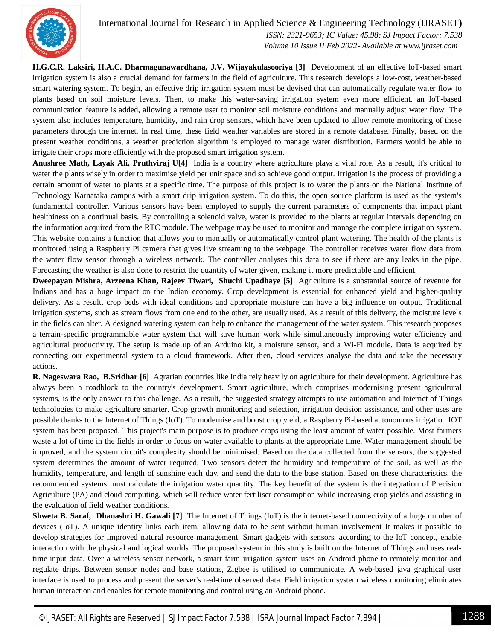

 *Volume 10 Issue II Feb 2022- Available at www.ijraset.com*

**H.G.C.R. Laksiri, H.A.C. Dharmagunawardhana, J.V. Wijayakulasooriya [3]** Development of an effective loT-based smart irrigation system is also a crucial demand for farmers in the field of agriculture. This research develops a low-cost, weather-based smart watering system. To begin, an effective drip irrigation system must be devised that can automatically regulate water flow to plants based on soil moisture levels. Then, to make this water-saving irrigation system even more efficient, an IoT-based communication feature is added, allowing a remote user to monitor soil moisture conditions and manually adjust water flow. The system also includes temperature, humidity, and rain drop sensors, which have been updated to allow remote monitoring of these parameters through the internet. In real time, these field weather variables are stored in a remote database. Finally, based on the present weather conditions, a weather prediction algorithm is employed to manage water distribution. Farmers would be able to irrigate their crops more efficiently with the proposed smart irrigation system.

**Anushree Math, Layak Ali, Pruthviraj U[4]** India is a country where agriculture plays a vital role. As a result, it's critical to water the plants wisely in order to maximise yield per unit space and so achieve good output. Irrigation is the process of providing a certain amount of water to plants at a specific time. The purpose of this project is to water the plants on the National Institute of Technology Karnataka campus with a smart drip irrigation system. To do this, the open source platform is used as the system's fundamental controller. Various sensors have been employed to supply the current parameters of components that impact plant healthiness on a continual basis. By controlling a solenoid valve, water is provided to the plants at regular intervals depending on the information acquired from the RTC module. The webpage may be used to monitor and manage the complete irrigation system. This website contains a function that allows you to manually or automatically control plant watering. The health of the plants is monitored using a Raspberry Pi camera that gives live streaming to the webpage. The controller receives water flow data from the water flow sensor through a wireless network. The controller analyses this data to see if there are any leaks in the pipe. Forecasting the weather is also done to restrict the quantity of water given, making it more predictable and efficient.

**Dweepayan Mishra, Arzeena Khan, Rajeev Tiwari, Shuchi Upadhaye [5]** Agriculture is a substantial source of revenue for Indians and has a huge impact on the Indian economy. Crop development is essential for enhanced yield and higher-quality delivery. As a result, crop beds with ideal conditions and appropriate moisture can have a big influence on output. Traditional irrigation systems, such as stream flows from one end to the other, are usually used. As a result of this delivery, the moisture levels in the fields can alter. A designed watering system can help to enhance the management of the water system. This research proposes a terrain-specific programmable water system that will save human work while simultaneously improving water efficiency and agricultural productivity. The setup is made up of an Arduino kit, a moisture sensor, and a Wi-Fi module. Data is acquired by connecting our experimental system to a cloud framework. After then, cloud services analyse the data and take the necessary actions.

**R. Nageswara Rao, B.Sridhar [6]** Agrarian countries like India rely heavily on agriculture for their development. Agriculture has always been a roadblock to the country's development. Smart agriculture, which comprises modernising present agricultural systems, is the only answer to this challenge. As a result, the suggested strategy attempts to use automation and Internet of Things technologies to make agriculture smarter. Crop growth monitoring and selection, irrigation decision assistance, and other uses are possible thanks to the Internet of Things (IoT). To modernise and boost crop yield, a Raspberry Pi-based autonomous irrigation IOT system has been proposed. This project's main purpose is to produce crops using the least amount of water possible. Most farmers waste a lot of time in the fields in order to focus on water available to plants at the appropriate time. Water management should be improved, and the system circuit's complexity should be minimised. Based on the data collected from the sensors, the suggested system determines the amount of water required. Two sensors detect the humidity and temperature of the soil, as well as the humidity, temperature, and length of sunshine each day, and send the data to the base station. Based on these characteristics, the recommended systems must calculate the irrigation water quantity. The key benefit of the system is the integration of Precision Agriculture (PA) and cloud computing, which will reduce water fertiliser consumption while increasing crop yields and assisting in the evaluation of field weather conditions.

**Shweta B. Saraf, Dhanashri H. Gawali [7]** The Internet of Things (IoT) is the internet-based connectivity of a huge number of devices (IoT). A unique identity links each item, allowing data to be sent without human involvement It makes it possible to develop strategies for improved natural resource management. Smart gadgets with sensors, according to the IoT concept, enable interaction with the physical and logical worlds. The proposed system in this study is built on the Internet of Things and uses realtime input data. Over a wireless sensor network, a smart farm irrigation system uses an Android phone to remotely monitor and regulate drips. Between sensor nodes and base stations, Zigbee is utilised to communicate. A web-based java graphical user interface is used to process and present the server's real-time observed data. Field irrigation system wireless monitoring eliminates human interaction and enables for remote monitoring and control using an Android phone.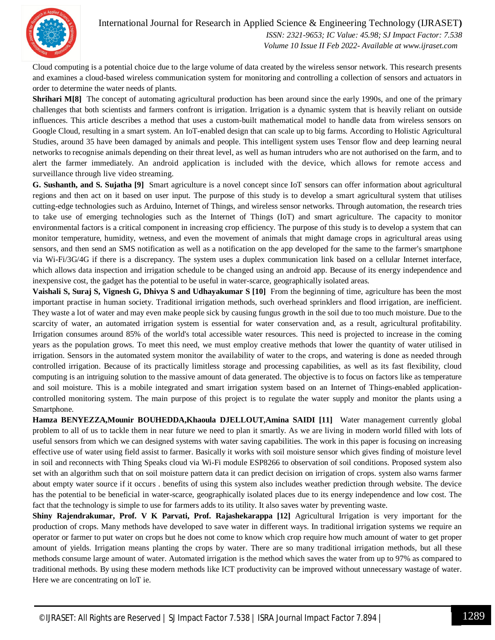

International Journal for Research in Applied Science & Engineering Technology (IJRASET**)**  *ISSN: 2321-9653; IC Value: 45.98; SJ Impact Factor: 7.538*

 *Volume 10 Issue II Feb 2022- Available at www.ijraset.com*

Cloud computing is a potential choice due to the large volume of data created by the wireless sensor network. This research presents and examines a cloud-based wireless communication system for monitoring and controlling a collection of sensors and actuators in order to determine the water needs of plants.

**Shrihari M[8]** The concept of automating agricultural production has been around since the early 1990s, and one of the primary challenges that both scientists and farmers confront is irrigation. Irrigation is a dynamic system that is heavily reliant on outside influences. This article describes a method that uses a custom-built mathematical model to handle data from wireless sensors on Google Cloud, resulting in a smart system. An IoT-enabled design that can scale up to big farms. According to Holistic Agricultural Studies, around 35 have been damaged by animals and people. This intelligent system uses Tensor flow and deep learning neural networks to recognise animals depending on their threat level, as well as human intruders who are not authorised on the farm, and to alert the farmer immediately. An android application is included with the device, which allows for remote access and surveillance through live video streaming.

**G. Sushanth, and S. Sujatha [9]** Smart agriculture is a novel concept since IoT sensors can offer information about agricultural regions and then act on it based on user input. The purpose of this study is to develop a smart agricultural system that utilises cutting-edge technologies such as Arduino, Internet of Things, and wireless sensor networks. Through automation, the research tries to take use of emerging technologies such as the Internet of Things (IoT) and smart agriculture. The capacity to monitor environmental factors is a critical component in increasing crop efficiency. The purpose of this study is to develop a system that can monitor temperature, humidity, wetness, and even the movement of animals that might damage crops in agricultural areas using sensors, and then send an SMS notification as well as a notification on the app developed for the same to the farmer's smartphone via Wi-Fi/3G/4G if there is a discrepancy. The system uses a duplex communication link based on a cellular Internet interface, which allows data inspection and irrigation schedule to be changed using an android app. Because of its energy independence and inexpensive cost, the gadget has the potential to be useful in water-scarce, geographically isolated areas.

**Vaishali S, Suraj S, Vignesh G, Dhivya S and Udhayakumar S [10]** From the beginning of time, agriculture has been the most important practise in human society. Traditional irrigation methods, such overhead sprinklers and flood irrigation, are inefficient. They waste a lot of water and may even make people sick by causing fungus growth in the soil due to too much moisture. Due to the scarcity of water, an automated irrigation system is essential for water conservation and, as a result, agricultural profitability. Irrigation consumes around 85% of the world's total accessible water resources. This need is projected to increase in the coming years as the population grows. To meet this need, we must employ creative methods that lower the quantity of water utilised in irrigation. Sensors in the automated system monitor the availability of water to the crops, and watering is done as needed through controlled irrigation. Because of its practically limitless storage and processing capabilities, as well as its fast flexibility, cloud computing is an intriguing solution to the massive amount of data generated. The objective is to focus on factors like as temperature and soil moisture. This is a mobile integrated and smart irrigation system based on an Internet of Things-enabled applicationcontrolled monitoring system. The main purpose of this project is to regulate the water supply and monitor the plants using a Smartphone.

**Hamza BENYEZZA,Mounir BOUHEDDA,Khaoula DJELLOUT,Amina SAIDI [11]** Water management currently global problem to all of us to tackle them in near future we need to plan it smartly. As we are living in modern world filled with lots of useful sensors from which we can designed systems with water saving capabilities. The work in this paper is focusing on increasing effective use of water using field assist to farmer. Basically it works with soil moisture sensor which gives finding of moisture level in soil and reconnects with Thing Speaks cloud via Wi-Fi module ESP8266 to observation of soil conditions. Proposed system also set with an algorithm such that on soil moisture pattern data it can predict decision on irrigation of crops. system also warns farmer about empty water source if it occurs . benefits of using this system also includes weather prediction through website. The device has the potential to be beneficial in water-scarce, geographically isolated places due to its energy independence and low cost. The fact that the technology is simple to use for farmers adds to its utility. It also saves water by preventing waste.

**Shiny Rajendrakumar, Prof. V K Parvati, Prof. Rajashekarappa [12]** Agricultural Irrigation is very important for the production of crops. Many methods have developed to save water in different ways. In traditional irrigation systems we require an operator or farmer to put water on crops but he does not come to know which crop require how much amount of water to get proper amount of yields. Irrigation means planting the crops by water. There are so many traditional irrigation methods, but all these methods consume large amount of water. Automated irrigation is the method which saves the water from up to 97% as compared to traditional methods. By using these modern methods like ICT productivity can be improved without unnecessary wastage of water. Here we are concentrating on loT ie.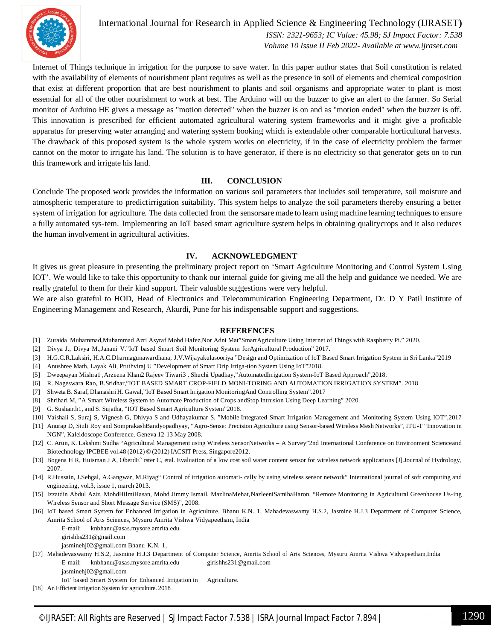

International Journal for Research in Applied Science & Engineering Technology (IJRASET**)**  *ISSN: 2321-9653; IC Value: 45.98; SJ Impact Factor: 7.538 Volume 10 Issue II Feb 2022- Available at www.ijraset.com*

Internet of Things technique in irrigation for the purpose to save water. In this paper author states that Soil constitution is related with the availability of elements of nourishment plant requires as well as the presence in soil of elements and chemical composition that exist at different proportion that are best nourishment to plants and soil organisms and appropriate water to plant is most essential for all of the other nourishment to work at best. The Arduino will on the buzzer to give an alert to the farmer. So Serial monitor of Arduino HE gives a message as "motion detected" when the buzzer is on and as "motion ended" when the buzzer is off. This innovation is prescribed for efficient automated agricultural watering system frameworks and it might give a profitable apparatus for preserving water arranging and watering system booking which is extendable other comparable horticultural harvests. The drawback of this proposed system is the whole system works on electricity, if in the case of electricity problem the farmer cannot on the motor to irrigate his land. The solution is to have generator, if there is no electricity so that generator gets on to run this framework and irrigate his land.

#### **III. CONCLUSION**

Conclude The proposed work provides the information on various soil parameters that includes soil temperature, soil moisture and atmospheric temperature to predictirrigation suitability. This system helps to analyze the soil parameters thereby ensuring a better system of irrigation for agriculture. The data collected from the sensorsare made to learn using machine learning techniques to ensure a fully automated sys-tem. Implementing an IoT based smart agriculture system helps in obtaining qualitycrops and it also reduces the human involvement in agricultural activities.

#### **IV. ACKNOWLEDGMENT**

It gives us great pleasure in presenting the preliminary project report on 'Smart Agriculture Monitoring and Control System Using IOT'. We would like to take this opportunity to thank our internal guide for giving me all the help and guidance we needed. We are really grateful to them for their kind support. Their valuable suggestions were very helpful.

We are also grateful to HOD, Head of Electronics and Telecommunication Engineering Department, Dr. D Y Patil Institute of Engineering Management and Research, Akurdi, Pune for his indispensable support and suggestions.

#### **REFERENCES**

- [1] Zuraida Muhammad,Muhammad Azri Asyraf Mohd Hafez,Nor Adni Mat"SmartAgriculture Using Internet of Things with Raspberry Pi." 2020.
- [2] Divya J., Divya M.,Janani V."IoT based Smart Soil Monitoring System forAgricultural Production" 2017.
- [3] H.G.C.R.Laksiri, H.A.C.Dharmagunawardhana, J.V.Wijayakulasooriya "Design and Optimization of loT Based Smart Irrigation System in Sri Lanka"2019
- [4] Anushree Math, Layak Ali, Pruthviraj U "Development of Smart Drip Irriga-tion System Using IoT"2018.
- [5] Dweepayan Mishra1 ,Arzeena Khan2 Rajeev Tiwari3 , Shuchi Upadhay,"AutomatedIrrigation System-IoT Based Approach",2018.
- [6] R. Nageswara Rao, B.Sridhar,"IOT BASED SMART CROP-FIELD MONI-TORING AND AUTOMATION IRRIGATION SYSTEM". 2018
- [7] ShwetaB. Saraf, Dhanashri H. Gawal,"IoT Based Smart Irrigation MonitoringAnd Controlling System".2017
- [8] Shrihari M, "A Smart Wireless System to Automate Production of Crops andStop Intrusion Using Deep Learning" 2020.
- [9] G. Sushanth1, and S. Sujatha, "IOT Based Smart Agriculture System"2018.
- [10] Vaishali S, Suraj S, Vignesh G, Dhivya S and Udhayakumar S, "Mobile Integrated Smart Irrigation Management and Monitoring System Using IOT",2017
- [11] Anurag D, Siuli Roy and SomprakashBandyopadhyay, "Agro-Sense: Precision Agriculture using Sensor-based Wireless Mesh Networks", ITU-T "Innovation in NGN", Kaleidoscope Conference, Geneva 12-13 May 2008.
- [12] C. Arun, K. Lakshmi Sudha "Agricultural Management using Wireless SensorNetworks A Survey"2nd International Conference on Environment Scienceand Biotechnology IPCBEE vol.48 (2012) © (2012) IACSIT Press, Singapore2012.
- [13] Bogena H R, Huisman J A, OberdEˆ rster C, etal. Evaluation of a low cost soil water content sensor for wireless network applications [J].Journal of Hydrology, 2007.
- [14] R.Hussain, J.Sehgal, A.Gangwar, M.Riyag" Control of irrigation automati- cally by using wireless sensor network" International journal of soft computing and engineering, vol.3, issue 1, march 2013.
- [15] Izzatdin Abdul Aziz, MohdHilmiHasan, Mohd Jimmy Ismail, MazlinaMehat,NazleeniSamihaHaron, "Remote Monitoring in Agricultural Greenhouse Us-ing Wireless Sensor and Short Message Service (SMS)", 2008.
- [16] IoT based Smart System for Enhanced Irrigation in Agriculture. Bhanu K.N. 1, Mahadevaswamy H.S.2, Jasmine H.J.3 Department of Computer Science, Amrita School of Arts Sciences, Mysuru Amrita Vishwa Vidyapeetham, India

E-mail: knbhanu@asas.mysore.amrita.edu girishhs231@gmail.com jasminehj02@gmail.com Bhanu K.N. 1,

- 
- [17] Mahadevaswamy H.S.2, Jasmine H.J.3 Department of Computer Science, Amrita School of Arts Sciences, Mysuru Amrita Vishwa Vidyapeetham,India E-mail: knbhanu@asas.mysore.amrita.edu girishhs231@gmail.com

jasminehj02@gmail.com

- IoT based Smart System for Enhanced Irrigation in Agriculture.
- [18] An Efficient Irrigation System for agriculture. 2018